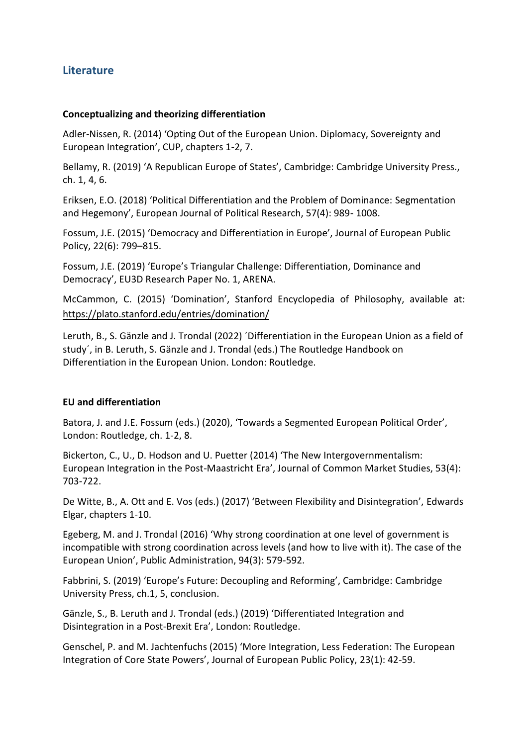# **Literature**

### **Conceptualizing and theorizing differentiation**

Adler-Nissen, R. (2014) 'Opting Out of the European Union. Diplomacy, Sovereignty and European Integration', CUP, chapters 1-2, 7.

Bellamy, R. (2019) 'A Republican Europe of States', Cambridge: Cambridge University Press., ch. 1, 4, 6.

Eriksen, E.O. (2018) 'Political Differentiation and the Problem of Dominance: Segmentation and Hegemony', European Journal of Political Research, 57(4): 989- 1008.

Fossum, J.E. (2015) 'Democracy and Differentiation in Europe', Journal of European Public Policy, 22(6): 799–815.

Fossum, J.E. (2019) 'Europe's Triangular Challenge: Differentiation, Dominance and Democracy', EU3D Research Paper No. 1, ARENA.

McCammon, C. (2015) 'Domination', Stanford Encyclopedia of Philosophy, available at: https://plato.stanford.edu/entries/domination/

Leruth, B., S. Gänzle and J. Trondal (2022) ´Differentiation in the European Union as a field of study´, in B. Leruth, S. Gänzle and J. Trondal (eds.) The Routledge Handbook on Differentiation in the European Union. London: Routledge.

#### **EU and differentiation**

Batora, J. and J.E. Fossum (eds.) (2020), 'Towards a Segmented European Political Order', London: Routledge, ch. 1-2, 8.

Bickerton, C., U., D. Hodson and U. Puetter (2014) 'The New Intergovernmentalism: European Integration in the Post‐Maastricht Era', Journal of Common Market Studies, 53(4): 703-722.

De Witte, B., A. Ott and E. Vos (eds.) (2017) 'Between Flexibility and Disintegration', Edwards Elgar, chapters 1-10.

Egeberg, M. and J. Trondal (2016) 'Why strong coordination at one level of government is incompatible with strong coordination across levels (and how to live with it). The case of the European Union', Public Administration, 94(3): 579-592.

Fabbrini, S. (2019) 'Europe's Future: Decoupling and Reforming', Cambridge: Cambridge University Press, ch.1, 5, conclusion.

Gänzle, S., B. Leruth and J. Trondal (eds.) (2019) 'Differentiated Integration and Disintegration in a Post-Brexit Era', London: Routledge.

Genschel, P. and M. Jachtenfuchs (2015) 'More Integration, Less Federation: The European Integration of Core State Powers', Journal of European Public Policy, 23(1): 42-59.